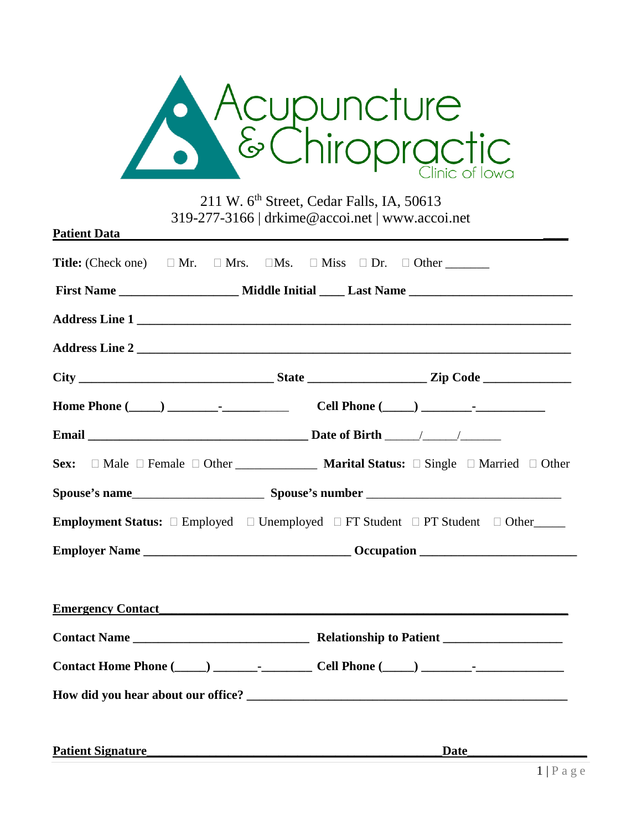

211 W. 6<sup>th</sup> Street, Cedar Falls, IA, 50613 319-277-3166 | drkime@accoi.net | www.accoi.net

| <b>Patient Data</b>      |  |                                                                                                                             |
|--------------------------|--|-----------------------------------------------------------------------------------------------------------------------------|
|                          |  |                                                                                                                             |
|                          |  |                                                                                                                             |
|                          |  |                                                                                                                             |
|                          |  | Address Line 2                                                                                                              |
|                          |  |                                                                                                                             |
|                          |  |                                                                                                                             |
|                          |  |                                                                                                                             |
| Sex:                     |  | $\Box$ Male $\Box$ Female $\Box$ Other <b>Marital Status:</b> $\Box$ Single $\Box$ Married $\Box$ Other                     |
|                          |  |                                                                                                                             |
|                          |  | <b>Employment Status:</b> $\square$ Employed $\square$ Unemployed $\square$ FT Student $\square$ PT Student $\square$ Other |
|                          |  |                                                                                                                             |
|                          |  |                                                                                                                             |
|                          |  | <b>Emergency Contact</b>                                                                                                    |
|                          |  |                                                                                                                             |
|                          |  |                                                                                                                             |
|                          |  |                                                                                                                             |
|                          |  |                                                                                                                             |
| <b>Patient Signature</b> |  | <b>Date</b>                                                                                                                 |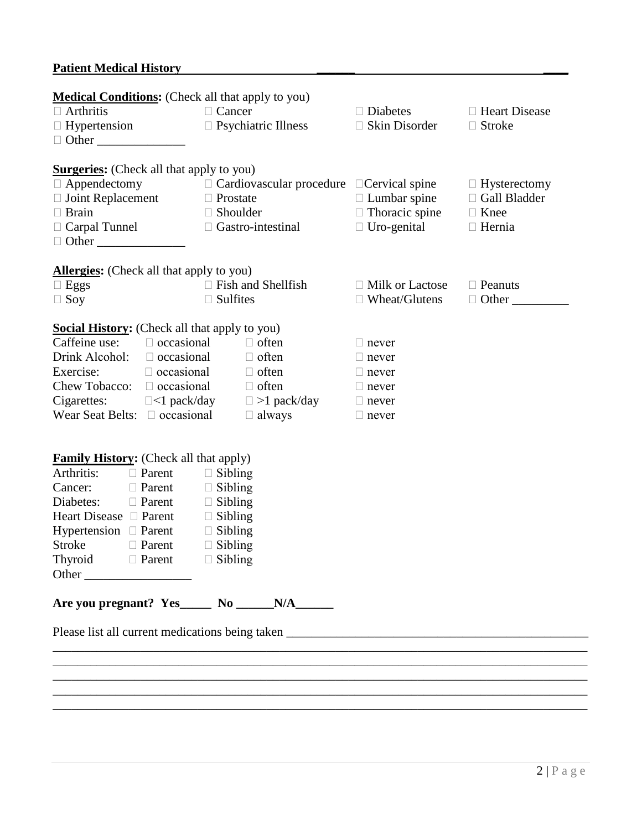### **Patient Medical History \_\_\_\_\_\_ \_\_\_\_**

| <b>Medical Conditions:</b> (Check all that apply to you)            |                                              |                 |                                                       |                        |                     |
|---------------------------------------------------------------------|----------------------------------------------|-----------------|-------------------------------------------------------|------------------------|---------------------|
| $\Box$ Cancer<br>$\Box$ Arthritis                                   |                                              | $\Box$ Diabetes | □ Heart Disease                                       |                        |                     |
| $\Box$ Hypertension                                                 |                                              |                 | $\Box$ Psychiatric Illness                            | $\Box$ Skin Disorder   | $\Box$ Stroke       |
| $\Box$ Other                                                        |                                              |                 |                                                       |                        |                     |
| <b>Surgeries:</b> (Check all that apply to you)                     |                                              |                 |                                                       |                        |                     |
| $\Box$ Appendectomy                                                 |                                              |                 | $\Box$ Cardiovascular procedure $\Box$ Cervical spine |                        | $\Box$ Hysterectomy |
| $\Box$ Joint Replacement $\Box$ Prostate                            |                                              |                 |                                                       | $\Box$ Lumbar spine    | □ Gall Bladder      |
| $\Box$ Brain                                                        | $\Box$ Shoulder                              |                 | $\Box$ Thoracic spine                                 | $\Box$ Knee            |                     |
| $\Box$ Carpal Tunnel                                                |                                              |                 | $\Box$ Gastro-intestinal                              | $\Box$ Uro-genital     | $\Box$ Hernia       |
| $\Box$ Other                                                        |                                              |                 |                                                       |                        |                     |
|                                                                     |                                              |                 |                                                       |                        |                     |
| <b>Allergies:</b> (Check all that apply to you)<br>$\Box$ Eggs      |                                              |                 | $\Box$ Fish and Shellfish                             | $\Box$ Milk or Lactose | $\Box$ Peanuts      |
| $\Box$ Soy                                                          |                                              | $\Box$ Sulfites |                                                       | $\Box$ Wheat/Glutens   | $\Box$ Other        |
|                                                                     |                                              |                 |                                                       |                        |                     |
| <b>Social History:</b> (Check all that apply to you)                |                                              |                 |                                                       |                        |                     |
| Caffeine use: $\Box$ occasional                                     |                                              |                 | $\Box$ often                                          | $\Box$ never           |                     |
| Drink Alcohol: $\square$ occasional                                 |                                              |                 | $\Box$ often                                          | $\Box$ never           |                     |
| Exercise:                                                           | $\Box$ occasional $\Box$ often               |                 |                                                       | $\Box$ never           |                     |
| Chew Tobacco: $\Box$ occasional                                     |                                              |                 | $\Box$ often                                          | $\Box$ never           |                     |
| Cigarettes: $\square$ <1 pack/day                                   |                                              |                 | $\Box$ >1 pack/day                                    | $\Box$ never           |                     |
| Wear Seat Belts: $\Box$ occasional<br>$\Box$ always<br>$\Box$ never |                                              |                 |                                                       |                        |                     |
|                                                                     |                                              |                 |                                                       |                        |                     |
| <b>Family History:</b> (Check all that apply)                       |                                              |                 |                                                       |                        |                     |
| Arthritis:                                                          | $\Box$ Parent                                | $\Box$ Sibling  |                                                       |                        |                     |
| Cancer:                                                             | $\Box$ Parent<br>$\Box$ Sibling              |                 |                                                       |                        |                     |
| Diabetes:<br>$\Box$ Parent<br>$\Box$ Sibling                        |                                              |                 |                                                       |                        |                     |
|                                                                     | Heart Disease □ Parent<br>$\Box$ Sibling     |                 |                                                       |                        |                     |
|                                                                     | Hypertension $\Box$ Parent<br>$\Box$ Sibling |                 |                                                       |                        |                     |
| <b>Stroke</b>                                                       | $\Box$ Sibling<br>$\Box$ Parent              |                 |                                                       |                        |                     |
| Thyroid □ Parent □ Sibling                                          |                                              |                 |                                                       |                        |                     |
| Other                                                               |                                              |                 |                                                       |                        |                     |
| Are you pregnant? Yes_____ No ______N/A_______                      |                                              |                 |                                                       |                        |                     |
|                                                                     |                                              |                 |                                                       |                        |                     |
|                                                                     |                                              |                 |                                                       |                        |                     |

\_\_\_\_\_\_\_\_\_\_\_\_\_\_\_\_\_\_\_\_\_\_\_\_\_\_\_\_\_\_\_\_\_\_\_\_\_\_\_\_\_\_\_\_\_\_\_\_\_\_\_\_\_\_\_\_\_\_\_\_\_\_\_\_\_\_\_\_\_\_\_\_\_\_\_\_\_\_\_\_\_\_\_\_\_ \_\_\_\_\_\_\_\_\_\_\_\_\_\_\_\_\_\_\_\_\_\_\_\_\_\_\_\_\_\_\_\_\_\_\_\_\_\_\_\_\_\_\_\_\_\_\_\_\_\_\_\_\_\_\_\_\_\_\_\_\_\_\_\_\_\_\_\_\_\_\_\_\_\_\_\_\_\_\_\_\_\_\_\_\_ \_\_\_\_\_\_\_\_\_\_\_\_\_\_\_\_\_\_\_\_\_\_\_\_\_\_\_\_\_\_\_\_\_\_\_\_\_\_\_\_\_\_\_\_\_\_\_\_\_\_\_\_\_\_\_\_\_\_\_\_\_\_\_\_\_\_\_\_\_\_\_\_\_\_\_\_\_\_\_\_\_\_\_\_\_ \_\_\_\_\_\_\_\_\_\_\_\_\_\_\_\_\_\_\_\_\_\_\_\_\_\_\_\_\_\_\_\_\_\_\_\_\_\_\_\_\_\_\_\_\_\_\_\_\_\_\_\_\_\_\_\_\_\_\_\_\_\_\_\_\_\_\_\_\_\_\_\_\_\_\_\_\_\_\_\_\_\_\_\_\_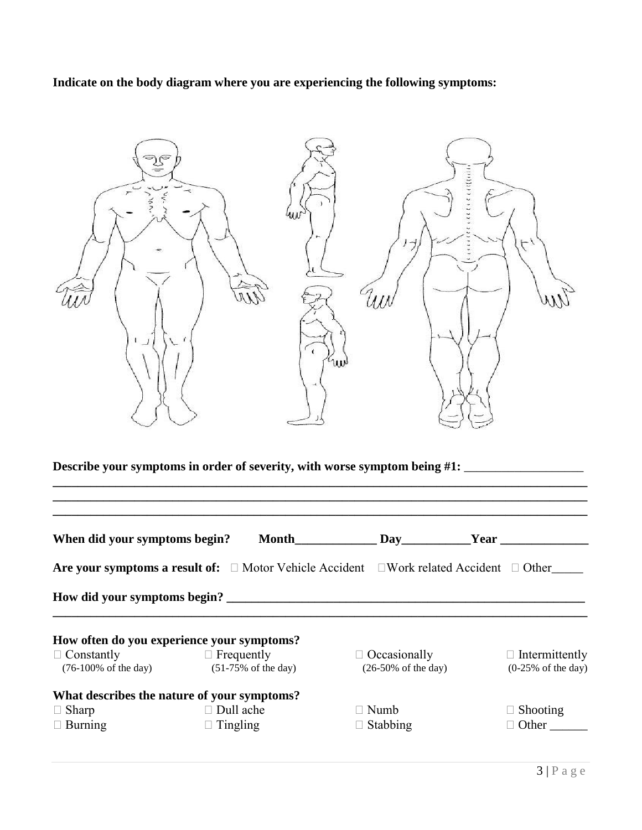**Indicate on the body diagram where you are experiencing the following symptoms:**

| $\sim$<br>$\overline{\phantom{a}}$<br>$\leq$                                         | W<br>$\epsilon$<br>w | 111111111 |  |
|--------------------------------------------------------------------------------------|----------------------|-----------|--|
| Describe your symptoms in order of severity, with worse symptom being #1: __________ |                      |           |  |
|                                                                                      |                      |           |  |

| When did your symptoms begin?                        | <b>Month</b>                                        | Day                                                                                                           | Year                                                   |
|------------------------------------------------------|-----------------------------------------------------|---------------------------------------------------------------------------------------------------------------|--------------------------------------------------------|
|                                                      |                                                     | <b>Are your symptoms a result of:</b> $\Box$ Motor Vehicle Accident $\Box$ Work related Accident $\Box$ Other |                                                        |
|                                                      |                                                     |                                                                                                               |                                                        |
|                                                      | How often do you experience your symptoms?          |                                                                                                               |                                                        |
| $\Box$ Constantly<br>$(76-100\% \text{ of the day})$ | $\Box$ Frequently<br>$(51-75\% \text{ of the day})$ | $\Box$ Occasionally<br>$(26-50\% \text{ of the day})$                                                         | $\Box$ Intermittently<br>$(0-25\% \text{ of the day})$ |
|                                                      | What describes the nature of your symptoms?         |                                                                                                               |                                                        |
| $\Box$ Sharp                                         | $\Box$ Dull ache                                    | $\Box$ Numb                                                                                                   | $\Box$ Shooting                                        |
| $\Box$ Burning                                       | $\Box$ Tingling                                     | $\Box$ Stabbing                                                                                               | $\Box$ Other                                           |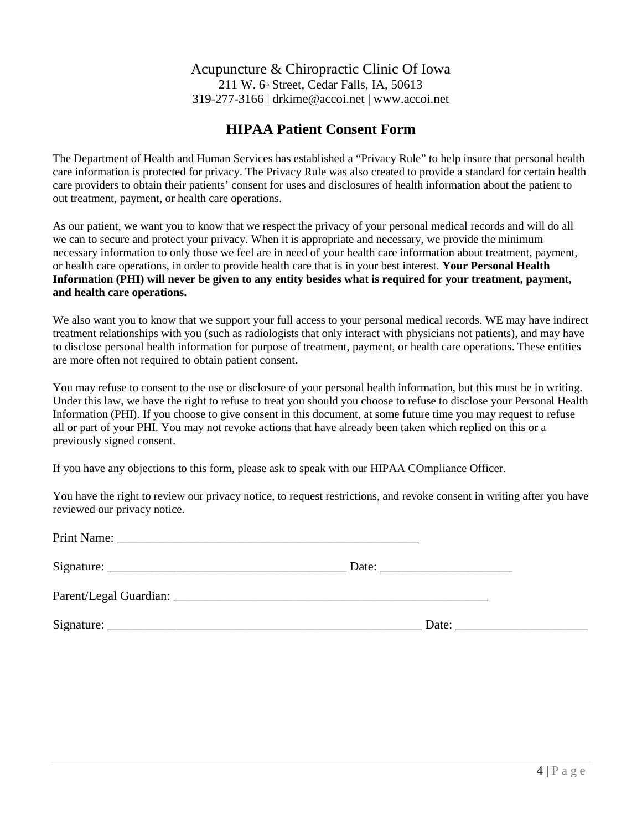### Acupuncture & Chiropractic Clinic Of Iowa 211 W.  $6\text{th}$  Street, Cedar Falls, IA, 50613 319-277-3166 | drkime@accoi.net | www.accoi.net

# **HIPAA Patient Consent Form**

The Department of Health and Human Services has established a "Privacy Rule" to help insure that personal health care information is protected for privacy. The Privacy Rule was also created to provide a standard for certain health care providers to obtain their patients' consent for uses and disclosures of health information about the patient to out treatment, payment, or health care operations.

As our patient, we want you to know that we respect the privacy of your personal medical records and will do all we can to secure and protect your privacy. When it is appropriate and necessary, we provide the minimum necessary information to only those we feel are in need of your health care information about treatment, payment, or health care operations, in order to provide health care that is in your best interest. **Your Personal Health Information (PHI) will never be given to any entity besides what is required for your treatment, payment, and health care operations.** 

We also want you to know that we support your full access to your personal medical records. WE may have indirect treatment relationships with you (such as radiologists that only interact with physicians not patients), and may have to disclose personal health information for purpose of treatment, payment, or health care operations. These entities are more often not required to obtain patient consent.

You may refuse to consent to the use or disclosure of your personal health information, but this must be in writing. Under this law, we have the right to refuse to treat you should you choose to refuse to disclose your Personal Health Information (PHI). If you choose to give consent in this document, at some future time you may request to refuse all or part of your PHI. You may not revoke actions that have already been taken which replied on this or a previously signed consent.

If you have any objections to this form, please ask to speak with our HIPAA COmpliance Officer.

You have the right to review our privacy notice, to request restrictions, and revoke consent in writing after you have reviewed our privacy notice.

| Date: |
|-------|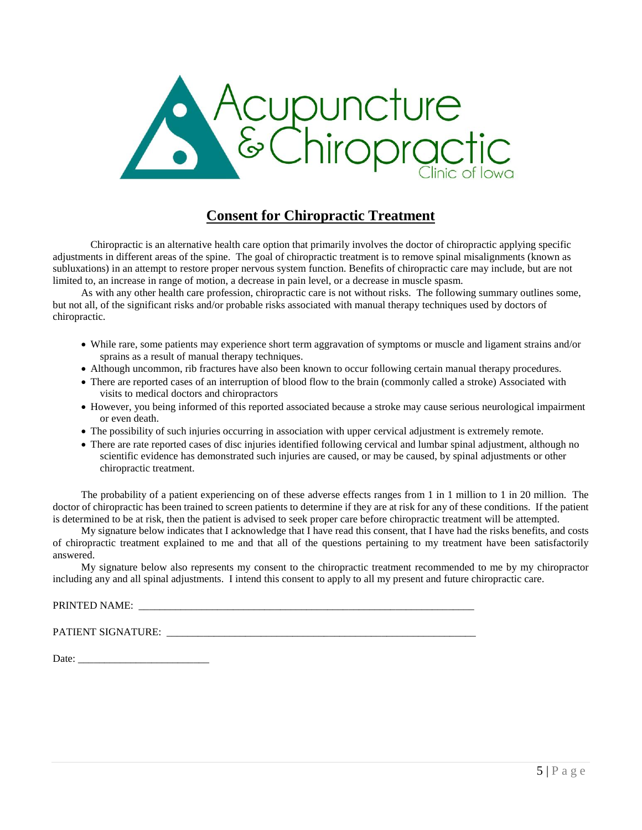

# **Consent for Chiropractic Treatment**

Chiropractic is an alternative health care option that primarily involves the doctor of chiropractic applying specific adjustments in different areas of the spine. The goal of chiropractic treatment is to remove spinal misalignments (known as subluxations) in an attempt to restore proper nervous system function. Benefits of chiropractic care may include, but are not limited to, an increase in range of motion, a decrease in pain level, or a decrease in muscle spasm.

As with any other health care profession, chiropractic care is not without risks. The following summary outlines some, but not all, of the significant risks and/or probable risks associated with manual therapy techniques used by doctors of chiropractic.

- While rare, some patients may experience short term aggravation of symptoms or muscle and ligament strains and/or sprains as a result of manual therapy techniques.
- Although uncommon, rib fractures have also been known to occur following certain manual therapy procedures.
- There are reported cases of an interruption of blood flow to the brain (commonly called a stroke) Associated with visits to medical doctors and chiropractors
- However, you being informed of this reported associated because a stroke may cause serious neurological impairment or even death.
- The possibility of such injuries occurring in association with upper cervical adjustment is extremely remote.
- There are rate reported cases of disc injuries identified following cervical and lumbar spinal adjustment, although no scientific evidence has demonstrated such injuries are caused, or may be caused, by spinal adjustments or other chiropractic treatment.

The probability of a patient experiencing on of these adverse effects ranges from 1 in 1 million to 1 in 20 million. The doctor of chiropractic has been trained to screen patients to determine if they are at risk for any of these conditions. If the patient is determined to be at risk, then the patient is advised to seek proper care before chiropractic treatment will be attempted.

My signature below indicates that I acknowledge that I have read this consent, that I have had the risks benefits, and costs of chiropractic treatment explained to me and that all of the questions pertaining to my treatment have been satisfactorily answered.

My signature below also represents my consent to the chiropractic treatment recommended to me by my chiropractor including any and all spinal adjustments. I intend this consent to apply to all my present and future chiropractic care.

#### PRINTED NAME:

PATIENT SIGNATURE: \_\_\_\_\_\_\_\_\_\_\_\_\_\_\_\_\_\_\_\_\_\_\_\_\_\_\_\_\_\_\_\_\_\_\_\_\_\_\_\_\_\_\_\_\_\_\_\_\_\_\_\_\_\_\_\_\_\_\_

Date: \_\_\_\_\_\_\_\_\_\_\_\_\_\_\_\_\_\_\_\_\_\_\_\_\_